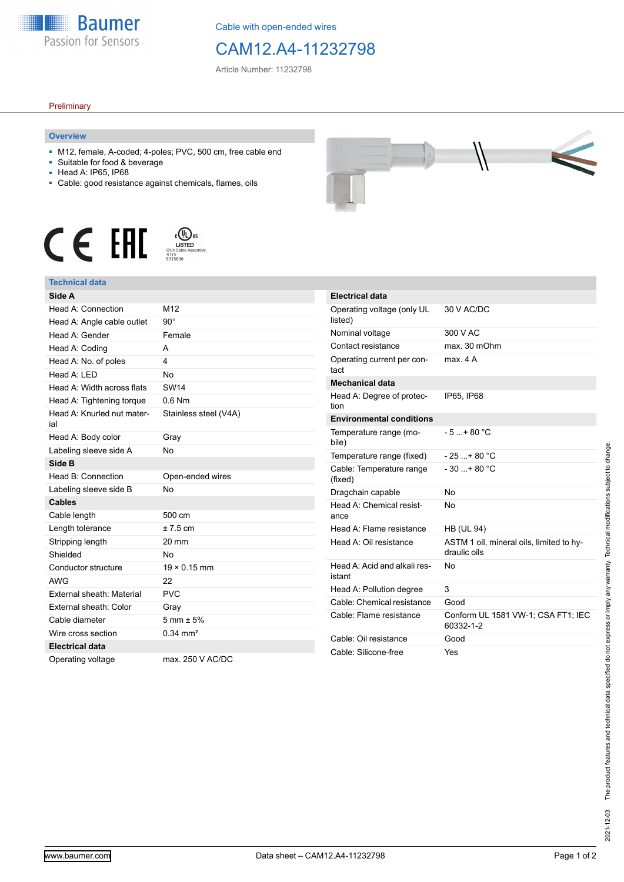

Cable with open-ended wires

# CAM12.A4-11232798

Article Number: 11232798

### **Preliminary**

### **Overview**

- M12, female, A-coded; 4-poles; PVC, 500 cm, free cable end
- Suitable for food & beverage
- Head A: IP65, IP68
- Cable: good resistance against chemicals, flames, oils





## **Technical data**

| Side A                            |                        |
|-----------------------------------|------------------------|
| Head A: Connection                | M <sub>12</sub>        |
| Head A: Angle cable outlet        | $90^\circ$             |
| Head A: Gender                    | Female                 |
| Head A: Coding                    | А                      |
| Head A: No. of poles              | 4                      |
| Head A: LED                       | <b>No</b>              |
| Head A: Width across flats        | <b>SW14</b>            |
| Head A: Tightening torque         | $0.6$ Nm               |
| Head A: Knurled nut mater-<br>ial | Stainless steel (V4A)  |
| Head A: Body color                | Gray                   |
| Labeling sleeve side A            | <b>No</b>              |
| Side B                            |                        |
| Head B: Connection                | Open-ended wires       |
| Labeling sleeve side B            | N <sub>0</sub>         |
| <b>Cables</b>                     |                        |
| Cable length                      | 500 cm                 |
| Length tolerance                  | $± 7.5$ cm             |
| Stripping length                  | 20 mm                  |
| Shielded                          | <b>No</b>              |
| Conductor structure               | $19 \times 0.15$ mm    |
| <b>AWG</b>                        | 22                     |
| External sheath: Material         | <b>PVC</b>             |
| External sheath: Color            | Gray                   |
| Cable diameter                    | $5 \text{ mm} \pm 5\%$ |
| Wire cross section                | $0.34 \, \text{mm}^2$  |
| <b>Electrical data</b>            |                        |
| Operating voltage                 | max. 250 V AC/DC       |

| __ |  |  |
|----|--|--|
|    |  |  |

| <b>Electrical data</b>                 |                                                          |
|----------------------------------------|----------------------------------------------------------|
| Operating voltage (only UL<br>listed)  | 30 V AC/DC                                               |
| Nominal voltage                        | 300 V AC                                                 |
| Contact resistance                     | max. 30 mOhm                                             |
| Operating current per con-<br>tact     | max 4 A                                                  |
| <b>Mechanical data</b>                 |                                                          |
| Head A: Degree of protec-<br>tion      | IP65. IP68                                               |
| <b>Environmental conditions</b>        |                                                          |
| Temperature range (mo-<br>bile)        | $-5 + 80 °C$                                             |
| Temperature range (fixed)              | $-25+80 °C$                                              |
| Cable: Temperature range               | $-30$ + 80 °C                                            |
| (fixed)                                |                                                          |
| Dragchain capable                      | N٥                                                       |
| Head A: Chemical resist-<br>ance       | No                                                       |
| Head A: Flame resistance               | <b>HB (UL 94)</b>                                        |
| Head A: Oil resistance                 | ASTM 1 oil, mineral oils, limited to hy-<br>draulic oils |
| Head A: Acid and alkali res-<br>istant | N٥                                                       |
| Head A: Pollution degree               | 3                                                        |
| Cable: Chemical resistance             | Good                                                     |
| Cable: Flame resistance                | Conform UL 1581 VW-1; CSA FT1; IEC<br>60332-1-2          |
| Cable: Oil resistance                  | Good                                                     |